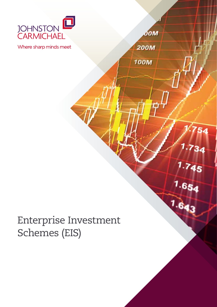

 $\boldsymbol{\delta}$ OM

54

 $1.734$ 

 $1.745$ 

 $1.654$ 

**200M** 

**100M** 

Where sharp minds meet

# Enterprise Investment Schemes (EIS)